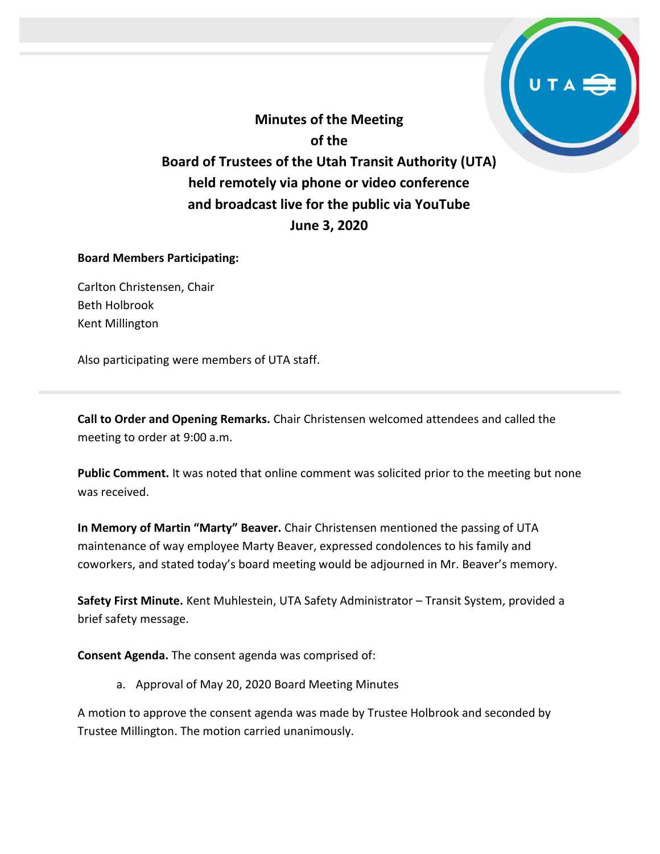**Minutes of the Meeting of the Board of Trustees of the Utah Transit Authority (UTA) held remotely via phone or video conference and broadcast live for the public via YouTube June 3, 2020**

### **Board Members Participating:**

Carlton Christensen, Chair Beth Holbrook Kent Millington

Also participating were members of UTA staff.

**Call to Order and Opening Remarks.** Chair Christensen welcomed attendees and called the meeting to order at 9:00 a.m.

**Public Comment.** It was noted that online comment was solicited prior to the meeting but none was received.

**In Memory of Martin "Marty" Beaver.** Chair Christensen mentioned the passing of UTA maintenance of way employee Marty Beaver, expressed condolences to his family and coworkers, and stated today's board meeting would be adjourned in Mr. Beaver's memory.

**Safety First Minute.** Kent Muhlestein, UTA Safety Administrator – Transit System, provided a brief safety message.

**Consent Agenda.** The consent agenda was comprised of:

a. Approval of May 20, 2020 Board Meeting Minutes

A motion to approve the consent agenda was made by Trustee Holbrook and seconded by Trustee Millington. The motion carried unanimously.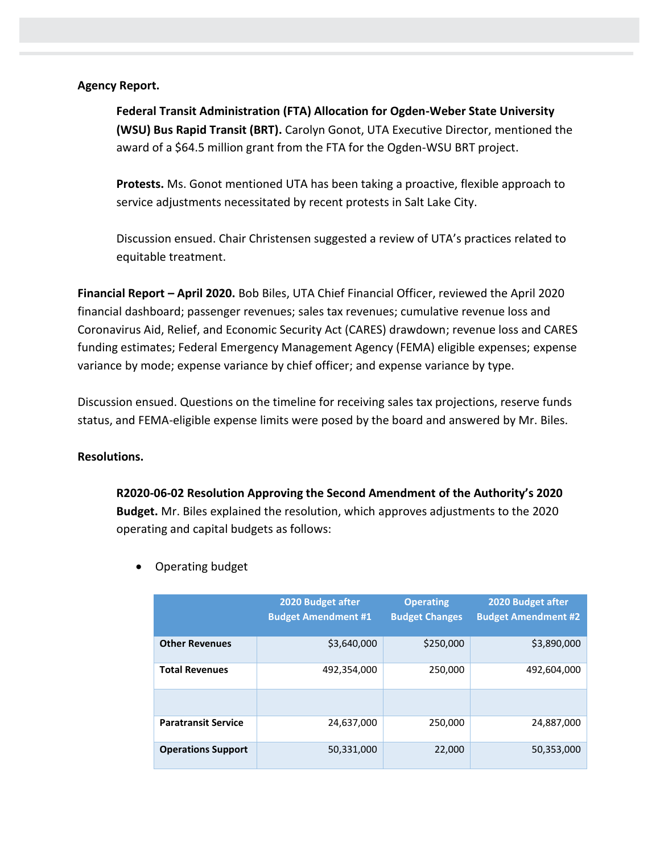## **Agency Report.**

**Federal Transit Administration (FTA) Allocation for Ogden-Weber State University (WSU) Bus Rapid Transit (BRT).** Carolyn Gonot, UTA Executive Director, mentioned the award of a \$64.5 million grant from the FTA for the Ogden-WSU BRT project.

**Protests.** Ms. Gonot mentioned UTA has been taking a proactive, flexible approach to service adjustments necessitated by recent protests in Salt Lake City.

Discussion ensued. Chair Christensen suggested a review of UTA's practices related to equitable treatment.

**Financial Report – April 2020.** Bob Biles, UTA Chief Financial Officer, reviewed the April 2020 financial dashboard; passenger revenues; sales tax revenues; cumulative revenue loss and Coronavirus Aid, Relief, and Economic Security Act (CARES) drawdown; revenue loss and CARES funding estimates; Federal Emergency Management Agency (FEMA) eligible expenses; expense variance by mode; expense variance by chief officer; and expense variance by type.

Discussion ensued. Questions on the timeline for receiving sales tax projections, reserve funds status, and FEMA-eligible expense limits were posed by the board and answered by Mr. Biles.

## **Resolutions.**

**R2020-06-02 Resolution Approving the Second Amendment of the Authority's 2020 Budget.** Mr. Biles explained the resolution, which approves adjustments to the 2020 operating and capital budgets as follows:

|                            | 2020 Budget after<br><b>Budget Amendment #1</b> | <b>Operating</b><br><b>Budget Changes</b> | 2020 Budget after<br><b>Budget Amendment #2</b> |
|----------------------------|-------------------------------------------------|-------------------------------------------|-------------------------------------------------|
| <b>Other Revenues</b>      | \$3,640,000                                     | \$250,000                                 | \$3,890,000                                     |
| <b>Total Revenues</b>      | 492,354,000                                     | 250,000                                   | 492,604,000                                     |
|                            |                                                 |                                           |                                                 |
| <b>Paratransit Service</b> | 24.637.000                                      | 250,000                                   | 24.887.000                                      |
| <b>Operations Support</b>  | 50,331,000                                      | 22,000                                    | 50,353,000                                      |

• Operating budget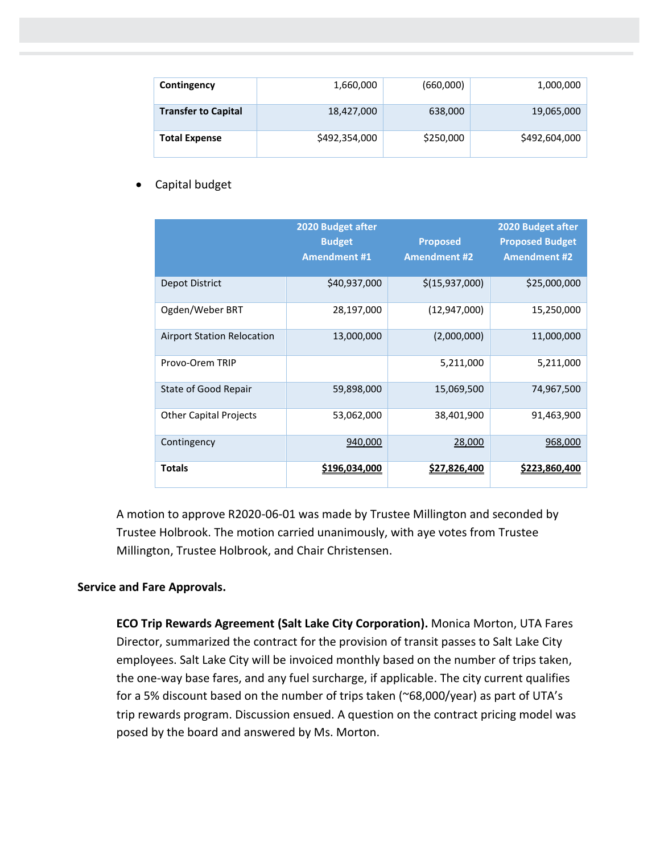| Contingency                | 1,660,000     | (660,000) | 1,000,000     |
|----------------------------|---------------|-----------|---------------|
| <b>Transfer to Capital</b> | 18,427,000    | 638,000   | 19,065,000    |
| <b>Total Expense</b>       | \$492,354,000 | \$250,000 | \$492,604,000 |

• Capital budget

|                                   | 2020 Budget after<br><b>Budget</b><br><b>Amendment #1</b> | <b>Proposed</b><br><b>Amendment #2</b> | 2020 Budget after<br><b>Proposed Budget</b><br><b>Amendment #2</b> |
|-----------------------------------|-----------------------------------------------------------|----------------------------------------|--------------------------------------------------------------------|
| Depot District                    | \$40,937,000                                              | \$(15,937,000)                         | \$25,000,000                                                       |
| Ogden/Weber BRT                   | 28,197,000                                                | (12, 947, 000)                         | 15,250,000                                                         |
| <b>Airport Station Relocation</b> | 13,000,000                                                | (2,000,000)                            | 11,000,000                                                         |
| Provo-Orem TRIP                   |                                                           | 5,211,000                              | 5,211,000                                                          |
| State of Good Repair              | 59,898,000                                                | 15,069,500                             | 74,967,500                                                         |
| <b>Other Capital Projects</b>     | 53,062,000                                                | 38,401,900                             | 91,463,900                                                         |
| Contingency                       | 940,000                                                   | 28,000                                 | 968,000                                                            |
| Totals                            | <u>\$196,034,000</u>                                      | \$27,826,400                           | \$223,860,400                                                      |

A motion to approve R2020-06-01 was made by Trustee Millington and seconded by Trustee Holbrook. The motion carried unanimously, with aye votes from Trustee Millington, Trustee Holbrook, and Chair Christensen.

# **Service and Fare Approvals.**

**ECO Trip Rewards Agreement (Salt Lake City Corporation).** Monica Morton, UTA Fares Director, summarized the contract for the provision of transit passes to Salt Lake City employees. Salt Lake City will be invoiced monthly based on the number of trips taken, the one-way base fares, and any fuel surcharge, if applicable. The city current qualifies for a 5% discount based on the number of trips taken (~68,000/year) as part of UTA's trip rewards program. Discussion ensued. A question on the contract pricing model was posed by the board and answered by Ms. Morton.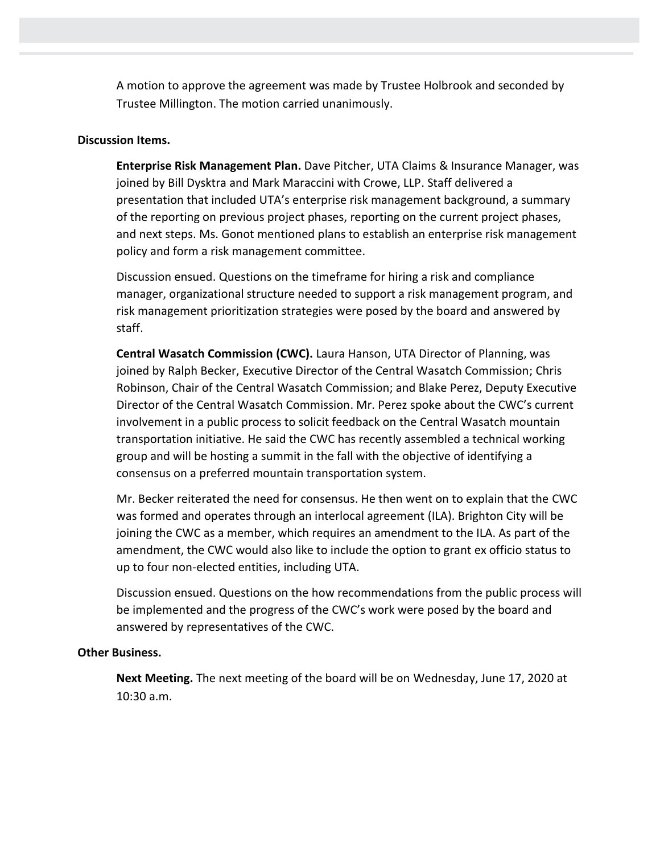A motion to approve the agreement was made by Trustee Holbrook and seconded by Trustee Millington. The motion carried unanimously.

### **Discussion Items.**

**Enterprise Risk Management Plan.** Dave Pitcher, UTA Claims & Insurance Manager, was joined by Bill Dysktra and Mark Maraccini with Crowe, LLP. Staff delivered a presentation that included UTA's enterprise risk management background, a summary of the reporting on previous project phases, reporting on the current project phases, and next steps. Ms. Gonot mentioned plans to establish an enterprise risk management policy and form a risk management committee.

Discussion ensued. Questions on the timeframe for hiring a risk and compliance manager, organizational structure needed to support a risk management program, and risk management prioritization strategies were posed by the board and answered by staff.

**Central Wasatch Commission (CWC).** Laura Hanson, UTA Director of Planning, was joined by Ralph Becker, Executive Director of the Central Wasatch Commission; Chris Robinson, Chair of the Central Wasatch Commission; and Blake Perez, Deputy Executive Director of the Central Wasatch Commission. Mr. Perez spoke about the CWC's current involvement in a public process to solicit feedback on the Central Wasatch mountain transportation initiative. He said the CWC has recently assembled a technical working group and will be hosting a summit in the fall with the objective of identifying a consensus on a preferred mountain transportation system.

Mr. Becker reiterated the need for consensus. He then went on to explain that the CWC was formed and operates through an interlocal agreement (ILA). Brighton City will be joining the CWC as a member, which requires an amendment to the ILA. As part of the amendment, the CWC would also like to include the option to grant ex officio status to up to four non-elected entities, including UTA.

Discussion ensued. Questions on the how recommendations from the public process will be implemented and the progress of the CWC's work were posed by the board and answered by representatives of the CWC.

## **Other Business.**

**Next Meeting.** The next meeting of the board will be on Wednesday, June 17, 2020 at 10:30 a.m.